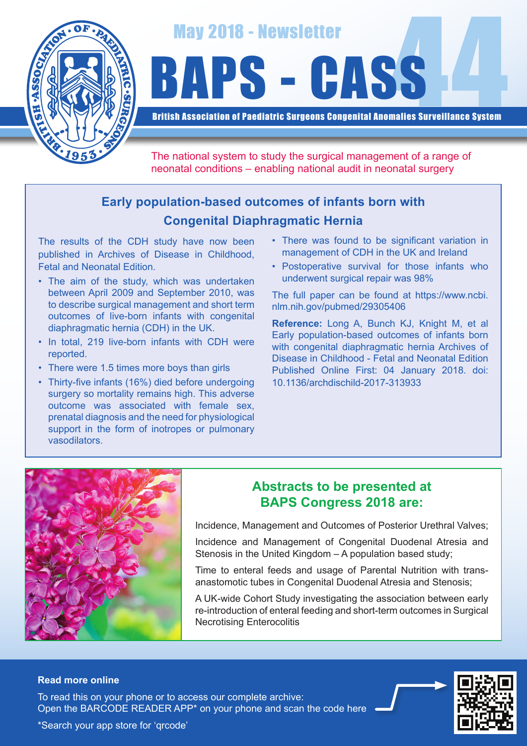

# May 2018 - Newsletter<br>BAPS - CASS

British Association of Paediatric Surgeons Congenital Anomalies Surveillance System

The national system to study the surgical management of a range of neonatal conditions – enabling national audit in neonatal surgery

# **Early population-based outcomes of infants born with Congenital Diaphragmatic Hernia**

The results of the CDH study have now been published in Archives of Disease in Childhood, Fetal and Neonatal Edition.

- The aim of the study, which was undertaken between April 2009 and September 2010, was to describe surgical management and short term outcomes of live-born infants with congenital diaphragmatic hernia (CDH) in the UK.
- In total, 219 live-born infants with CDH were reported.
- There were 1.5 times more boys than girls
- Thirty-five infants (16%) died before undergoing surgery so mortality remains high. This adverse outcome was associated with female sex, prenatal diagnosis and the need for physiological support in the form of inotropes or pulmonary vasodilators.
- There was found to be significant variation in management of CDH in the UK and Ireland
- Postoperative survival for those infants who underwent surgical repair was 98%

The full paper can be found at https://www.ncbi. nlm.nih.gov/pubmed/29305406

**Reference:** Long A, Bunch KJ, Knight M, et al Early population-based outcomes of infants born with congenital diaphragmatic hernia Archives of Disease in Childhood - Fetal and Neonatal Edition Published Online First: 04 January 2018. doi: 10.1136/archdischild-2017-313933



# **Abstracts to be presented at BAPS Congress 2018 are:**

Incidence, Management and Outcomes of Posterior Urethral Valves;

Incidence and Management of Congenital Duodenal Atresia and Stenosis in the United Kingdom – A population based study;

Time to enteral feeds and usage of Parental Nutrition with transanastomotic tubes in Congenital Duodenal Atresia and Stenosis;

A UK-wide Cohort Study investigating the association between early re-introduction of enteral feeding and short-term outcomes in Surgical Necrotising Enterocolitis

### **Read more online**

Open the BARCODE READER APP\* on your phone and scan the code here To read this on your phone or to access our complete archive: